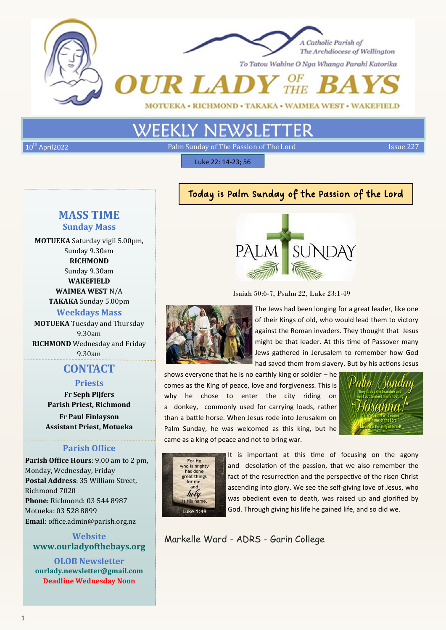



To Tatou Wahine O Nga Whanga Parahi Katorika

 $\frac{OF}{T H E}$ **UR LADY** 

MOTUEKA • RICHMOND • TAKAKA • WAIMEA WEST • WAKEFIELD

# **WEEKLY NEWSLET**

 $10<sup>th</sup>$  April2022 **Example 227** Palm Sunday of The Passion of The Lord Issue 227

Luke 22: 14-23; 56

# **MASS TIME Sunday Mass**

**MOTUEKA** Saturday vigil 5.00pm, Sunday 9.30am **RICHMOND** Sunday 9.30am **WAKEFIELD WAIMEA WEST** N/A **TAKAKA** Sunday 5.00pm **Weekdays Mass MOTUEKA** Tuesday and Thursday 9.30am **RICHMOND** Wednesday and Friday

9.30am

# **CONTACT**

#### **Priests**

**Fr Seph Pijfers Parish Priest, Richmond**

**Fr Paul Finlayson Assistant Priest, Motueka**

#### **Parish Office**

**Parish Office Hours**: 9.00 am to 2 pm, Monday, Wednesday, Friday **Postal Address**: 35 William Street, Richmond 7020 **Phone**: Richmond: 03 544 8987 Motueka: 03 528 8899 **Email**: office.admin@parish.org.nz

## **Website www.ourladyofthebays.org**

**OLOB Newsletter ourlady.newsletter@gmail.com Deadline Wednesday Noon**

# Today is Palm Sunday of the Passion of the Lord



Isaiah 50:6-7, Psalm 22, Luke 23:1-49



The Jews had been longing for a great leader, like one of their Kings of old, who would lead them to victory against the Roman invaders. They thought that Jesus might be that leader. At this time of Passover many Jews gathered in Jerusalem to remember how God had saved them from slavery. But by his actions Jesus

shows everyone that he is no earthly king or soldier – he comes as the King of peace, love and forgiveness. This is why he chose to enter the city riding on a donkey, commonly used for carrying loads, rather than a battle horse. When Jesus rode into Jerusalem on Palm Sunday, he was welcomed as this king, but he came as a king of peace and not to bring war.





It is important at this time of focusing on the agony and desolation of the passion, that we also remember the fact of the resurrection and the perspective of the risen Christ ascending into glory. We see the self-giving love of Jesus, who was obedient even to death, was raised up and glorified by God. Through giving his life he gained life, and so did we.

Markelle Ward - ADRS - Garin College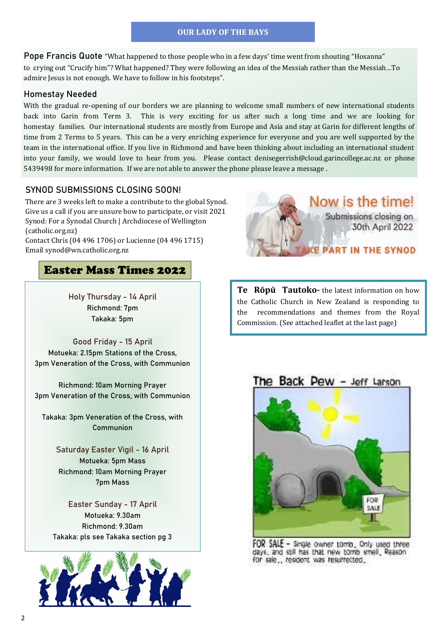#### **OUR LADY OF THE BAYS**

**Pope Francis Quote** "What happened to those people who in a few days' time went from shouting "Hosanna" to crying out "Crucify him"? What happened? They were following an idea of the Messiah rather than the Messiah…To admire Jesus is not enough. We have to follow in his footsteps".

#### **Homestay Needed**

With the gradual re-opening of our borders we are planning to welcome small numbers of new international students back into Garin from Term 3. This is very exciting for us after such a long time and we are looking for homestay families. Our international students are mostly from Europe and Asia and stay at Garin for different lengths of time from 2 Terms to 5 years. This can be a very enriching experience for everyone and you are well supported by the team in the international office. If you live in Richmond and have been thinking about including an international student into your family, we would love to hear from you. Please contact denisegerrish@cloud.garincollege.ac.nz or phone 5439498 for more information. If we are not able to answer the phone please leave a message .

#### **SYNOD SUBMISSIONS CLOSING SOON!**

There are 3 weeks left to make a contribute to the global Synod. Give us a call if you are unsure how to participate, or visit [2021](https://www.wn.catholic.org.nz/about/archdiocesan-synod/)  [Synod: For a Synodal Church | Archdiocese of Wellington](https://www.wn.catholic.org.nz/about/archdiocesan-synod/)  [\(catholic.org.nz\)](https://www.wn.catholic.org.nz/about/archdiocesan-synod/)

Contact Chris (04 496 1706) or Lucienne (04 496 1715) Email [synod@wn.catholic.org.nz](mailto:synod@wn.catholic.org.nz)

## Easter Mass Times 2022

**Holy Thursday - 14 April Richmond: 7pm Takaka: 5pm**

**Good Friday - 15 April Motueka: 2.15pm Stations of the Cross, 3pm Veneration of the Cross, with Communion**

**Richmond: 10am Morning Prayer 3pm Veneration of the Cross, with Communion**

**Takaka: 3pm Veneration of the Cross, with Communion**

> **Saturday Easter Vigil - 16 April Motueka: 5pm Mass Richmond: 10am Morning Prayer 7pm Mass**

**Easter Sunday - 17 April Motueka: 9.30am Richmond: 9.30am Takaka: pls see Takaka section pg 3**





**Te Rōpū Tautoko-** the latest information on how the Catholic Church in New Zealand is responding to the recommendations and themes from the Royal Commission. (See attached leaflet at the last page)

The Back Pew - Jeff Larson



FOR SALE - Single owner tomb, Only used three days, and still has that new tomb smell, Reason for sale... resident was resurrected.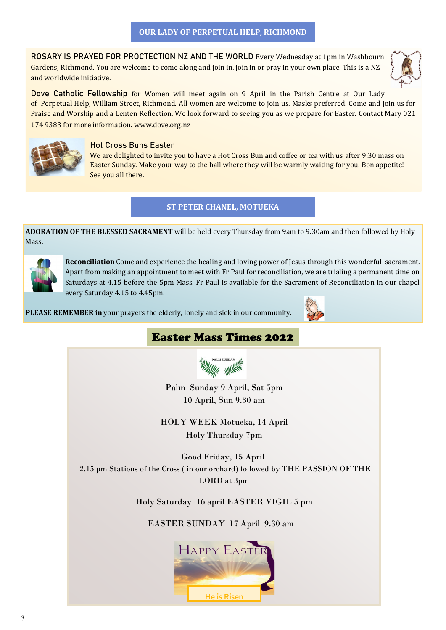**ROSARY IS PRAYED FOR PROCTECTION NZ AND THE WORLD** Every Wednesday at 1pm in Washbourn Gardens, Richmond. You are welcome to come along and join in. join in or pray in your own place. This is a NZ and worldwide initiative.



**Dove Catholic Fellowship** for Women will meet again on 9 April in the Parish Centre at Our Lady of Perpetual Help, William Street, Richmond. All women are welcome to join us. Masks preferred. Come and join us for Praise and Worship and a Lenten Reflection. We look forward to seeing you as we prepare for Easter. Contact Mary 021 174 9383 for more information. [www.dove.org](http://www.dove.org.nz/)**.**nz



#### **Hot Cross Buns Easter**

We are delighted to invite you to have a Hot Cross Bun and coffee or tea with us after 9:30 mass on Easter Sunday. Make your way to the hall where they will be warmly waiting for you. Bon appetite! See you all there.

#### **ST PETER CHANEL, MOTUEKA**

**ADORATION OF THE BLESSED SACRAMENT** will be held every Thursday from 9am to 9.30am and then followed by Holy Mass.



**Reconciliation** Come and experience the healing and loving power of Jesus through this wonderful sacrament. Apart from making an appointment to meet with Fr Paul for reconciliation, we are trialing a permanent time on Saturdays at 4.15 before the 5pm Mass. Fr Paul is available for the Sacrament of Reconciliation in our chapel every Saturday 4.15 to 4.45pm.

**PLEASE REMEMBER in** your prayers the elderly, lonely and sick in our community.



# Easter Mass Times 2022



Palm Sunday 9 April, Sat 5pm 10 April, Sun 9.30 am

HOLY WEEK Motueka, 14 April Holy Thursday 7pm

Good Friday, 15 April 2.15 pm Stations of the Cross ( in our orchard) followed by THE PASSION OF THE LORD at 3pm

Holy Saturday 16 april EASTER VIGIL 5 pm

EASTER SUNDAY 17 April 9.30 am